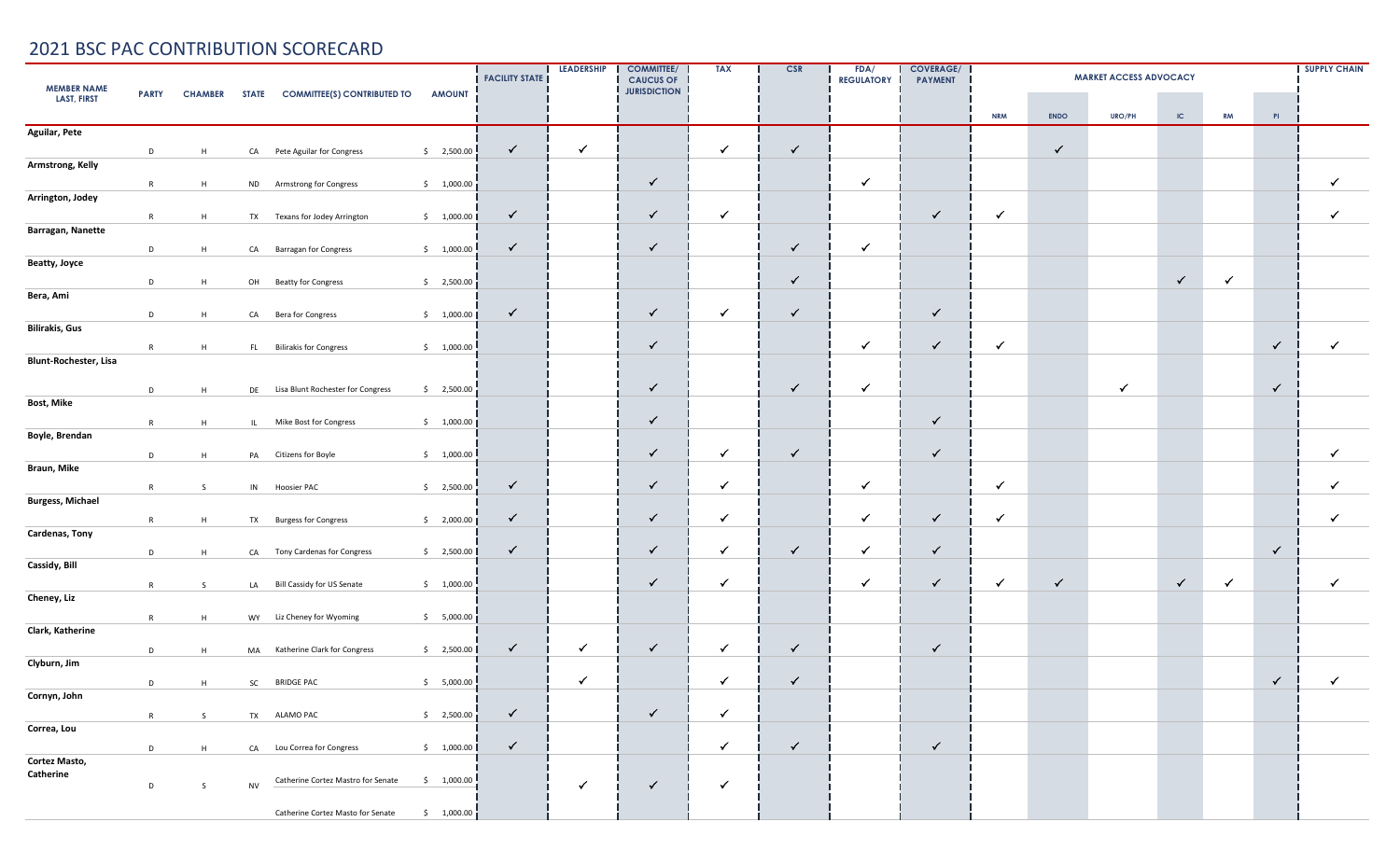| <b>MEMBER NAME</b>      | <b>PARTY</b> | <b>CHAMBER</b> |           | STATE COMMITTEE(S) CONTRIBUTED TO    | <b>AMOUNT</b>         | <b>FACILITY STATE</b> | <b>LEADERSHIP</b> | <b>COMMITTEE/</b><br><b>CAUCUS OF</b><br><b>JURISDICTION</b> | <b>TAX</b>   | CSR          | FDA/<br><b>REGULATORY</b> | <b>COVERAGE/</b><br><b>PAYMENT</b> |              |              | <b>SUPPLY CHAIN</b> |              |              |                |              |
|-------------------------|--------------|----------------|-----------|--------------------------------------|-----------------------|-----------------------|-------------------|--------------------------------------------------------------|--------------|--------------|---------------------------|------------------------------------|--------------|--------------|---------------------|--------------|--------------|----------------|--------------|
| <b>LAST, FIRST</b>      |              |                |           |                                      |                       |                       |                   |                                                              |              |              |                           |                                    | <b>NRM</b>   | <b>ENDO</b>  | URO/PH              | $\sf IC$     | <b>RM</b>    | PI             |              |
| <b>Aguilar, Pete</b>    |              |                |           |                                      |                       |                       |                   |                                                              |              |              |                           |                                    |              |              |                     |              |              |                |              |
|                         | D            | H              |           | CA Pete Aguilar for Congress         | \$2,500.00            | $\checkmark$          | $\checkmark$      |                                                              | $\checkmark$ | $\checkmark$ |                           |                                    |              | $\checkmark$ |                     |              |              |                |              |
| Armstrong, Kelly        |              |                |           |                                      |                       |                       |                   |                                                              |              |              |                           |                                    |              |              |                     |              |              |                |              |
|                         | R            | H              | <b>ND</b> | Armstrong for Congress               | \$1,000.00            |                       |                   | $\checkmark$                                                 |              |              | $\checkmark$              |                                    |              |              |                     |              |              |                | $\checkmark$ |
| Arrington, Jodey        |              |                |           |                                      |                       | $\checkmark$          |                   | $\checkmark$                                                 | $\checkmark$ |              |                           | $\checkmark$                       | $\checkmark$ |              |                     |              |              |                | $\checkmark$ |
| Barragan, Nanette       | R            | H              |           | TX Texans for Jodey Arrington        | \$1,000.00            |                       |                   |                                                              |              |              |                           |                                    |              |              |                     |              |              |                |              |
|                         | D            | H              |           | CA Barragan for Congress             | \$1,000.00            | $\checkmark$          |                   | $\checkmark$                                                 |              | $\checkmark$ | ✓                         |                                    |              |              |                     |              |              |                |              |
| Beatty, Joyce           |              |                |           |                                      |                       |                       |                   |                                                              |              |              |                           |                                    |              |              |                     |              |              |                |              |
|                         | D            | H              |           | OH Beatty for Congress               | \$2,500.00            |                       |                   |                                                              |              | $\checkmark$ |                           |                                    |              |              |                     | $\checkmark$ | $\checkmark$ |                |              |
| Bera, Ami               |              |                |           |                                      |                       |                       |                   |                                                              |              |              |                           |                                    |              |              |                     |              |              |                |              |
|                         | D            | H              |           | CA Bera for Congress                 | \$1,000.00]           | $\checkmark$          |                   | $\checkmark$                                                 | $\checkmark$ | $\checkmark$ |                           | $\checkmark$                       |              |              |                     |              |              |                |              |
| <b>Bilirakis, Gus</b>   |              |                |           |                                      |                       |                       |                   |                                                              |              |              |                           |                                    |              |              |                     |              |              |                |              |
|                         | R            | H              |           | FL Bilirakis for Congress            | \$1,000.00            |                       |                   | $\checkmark$                                                 |              |              | $\checkmark$              | $\checkmark$                       | $\checkmark$ |              |                     |              |              | $\checkmark$   | $\checkmark$ |
| Blunt-Rochester, Lisa   |              |                |           |                                      |                       |                       |                   |                                                              |              |              |                           |                                    |              |              |                     |              |              |                |              |
|                         | D            | H              |           | DE Lisa Blunt Rochester for Congress | \$2,500.00            |                       |                   | $\checkmark$                                                 |              | $\checkmark$ | $\checkmark$              |                                    |              |              | $\checkmark$        |              |              | $\checkmark$   |              |
| Bost, Mike              |              |                |           |                                      |                       |                       |                   |                                                              |              |              |                           |                                    |              |              |                     |              |              |                |              |
|                         | R            | H              |           | IL Mike Bost for Congress            | \$1,000.00]           |                       |                   | $\checkmark$                                                 |              |              |                           | $\checkmark$                       |              |              |                     |              |              |                |              |
| Boyle, Brendan          |              |                |           |                                      |                       |                       |                   |                                                              |              |              |                           |                                    |              |              |                     |              |              |                |              |
|                         | D            | H              |           | PA Citizens for Boyle                | \$1,000.00            |                       |                   | $\checkmark$                                                 | $\checkmark$ | $\checkmark$ |                           | $\checkmark$                       |              |              |                     |              |              |                | $\checkmark$ |
| Braun, Mike             |              |                |           |                                      |                       |                       |                   |                                                              |              |              |                           |                                    |              |              |                     |              |              |                |              |
|                         | R            | -S             |           | IN Hoosier PAC                       | \$2,500.00            | $\checkmark$          |                   | $\checkmark$                                                 | $\checkmark$ |              | $\checkmark$              |                                    | ✓            |              |                     |              |              |                |              |
| <b>Burgess, Michael</b> |              |                |           |                                      |                       |                       |                   |                                                              |              |              |                           |                                    |              |              |                     |              |              |                |              |
| Cardenas, Tony          | R            | H              |           | TX Burgess for Congress              | \$2,000.00]           | $\checkmark$          |                   | $\checkmark$                                                 | $\checkmark$ |              | $\checkmark$              | $\checkmark$                       | $\checkmark$ |              |                     |              |              |                | ✓            |
|                         |              |                |           | CA Tony Cardenas for Congress        | \$2,500.00            | $\checkmark$          |                   | ✓                                                            | $\checkmark$ | $\checkmark$ | $\checkmark$              | $\checkmark$                       |              |              |                     |              |              | $\checkmark$   |              |
| Cassidy, Bill           | D            | H              |           |                                      |                       |                       |                   |                                                              |              |              |                           |                                    |              |              |                     |              |              |                |              |
|                         | R            | S              |           | LA Bill Cassidy for US Senate        | \$1,000.00            |                       |                   | $\checkmark$                                                 | $\checkmark$ |              | ✓                         | $\checkmark$                       | ✓            | $\checkmark$ |                     | $\checkmark$ | $\checkmark$ |                | $\checkmark$ |
| Cheney, Liz             |              |                |           |                                      |                       |                       |                   |                                                              |              |              |                           |                                    |              |              |                     |              |              |                |              |
|                         | R            | H              |           | WY Liz Cheney for Wyoming            | \$5,000.00]           |                       |                   |                                                              |              |              |                           |                                    |              |              |                     |              |              |                |              |
| Clark, Katherine        |              |                |           |                                      |                       |                       |                   |                                                              |              |              |                           |                                    |              |              |                     |              |              |                |              |
|                         | D            | H              |           | MA Katherine Clark for Congress      | \$2,500.00            | $\checkmark$          | $\checkmark$      | $\checkmark$                                                 | $\checkmark$ | $\checkmark$ |                           | $\checkmark$                       |              |              |                     |              |              |                |              |
| Clyburn, Jim            |              |                |           |                                      |                       |                       |                   |                                                              |              |              |                           |                                    |              |              |                     |              |              |                |              |
|                         |              | $D$ H          |           | SC BRIDGE PAC                        | \$5,000.00            |                       | $\checkmark$      |                                                              | $\checkmark$ | $\checkmark$ |                           |                                    |              |              |                     |              |              | $\checkmark$ ! | $\checkmark$ |
| Cornyn, John            |              |                |           |                                      |                       |                       |                   | $\checkmark$                                                 |              |              |                           |                                    |              |              |                     |              |              |                |              |
| Correa, Lou             | R            | S              |           | TX ALAMO PAC                         | $\frac{1}{2}$ ,500.00 | $\checkmark$          |                   |                                                              | $\checkmark$ |              |                           |                                    |              |              |                     |              |              |                |              |
|                         | D            | H              |           | CA Lou Correa for Congress           | \$1,000.00            | $\checkmark$          |                   |                                                              | $\checkmark$ | $\checkmark$ |                           | $\checkmark$                       |              |              |                     |              |              |                |              |
| Cortez Masto,           |              |                |           |                                      |                       |                       |                   |                                                              |              |              |                           |                                    |              |              |                     |              |              |                |              |
| Catherine               |              |                |           | Catherine Cortez Mastro for Senate   | \$1,000.00            |                       | $\checkmark$      | $\checkmark$                                                 | $\checkmark$ |              |                           |                                    |              |              |                     |              |              |                |              |
|                         | D            | S              | <b>NV</b> |                                      |                       |                       |                   |                                                              |              |              |                           |                                    |              |              |                     |              |              |                |              |
|                         |              |                |           | Catherine Cortez Masto for Senate    | \$1,000.00]           |                       |                   |                                                              |              |              |                           |                                    |              |              |                     |              |              |                |              |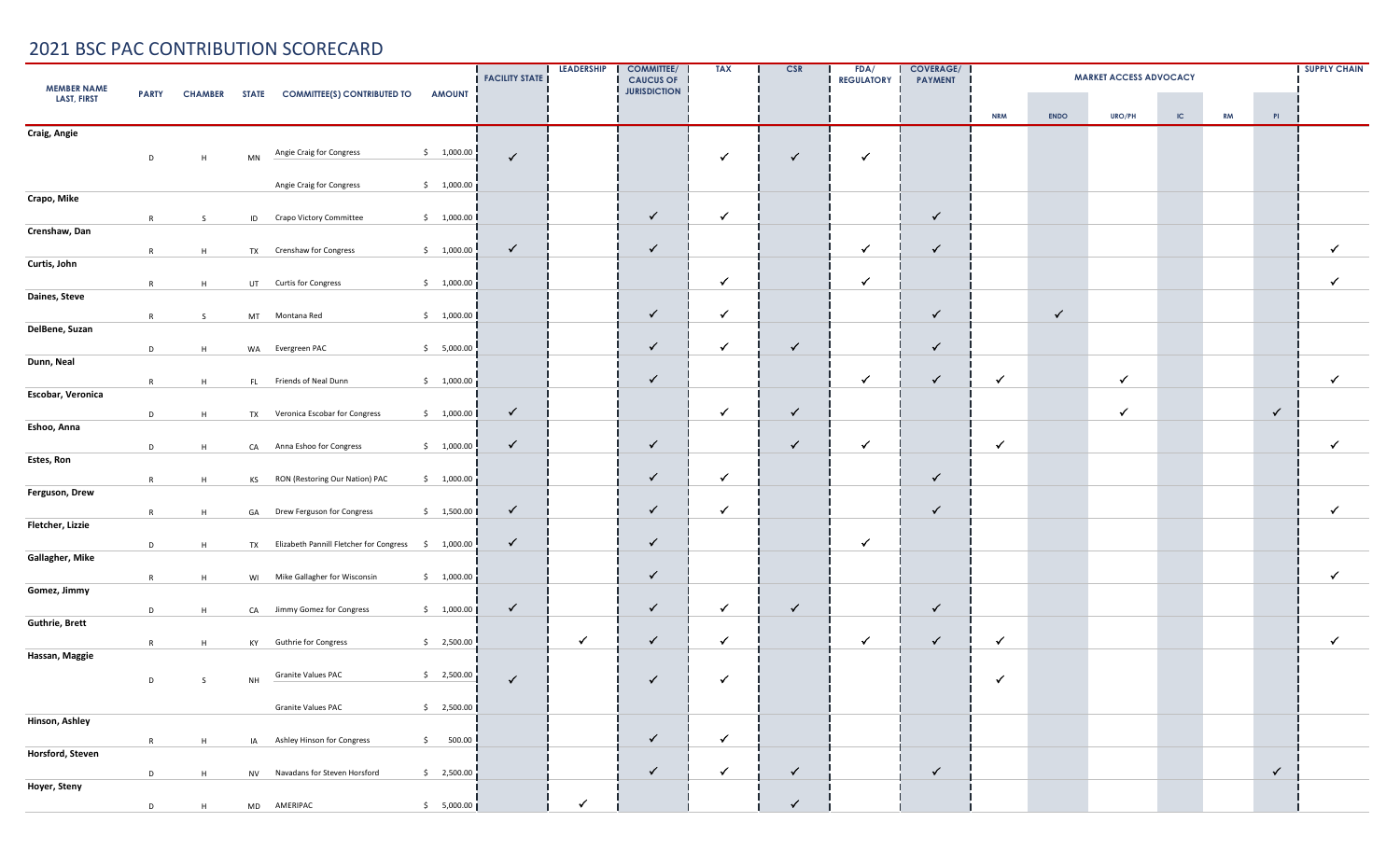| <b>MEMBER NAME</b>    | <b>PARTY</b> | <b>CHAMBER</b> |           | STATE COMMITTEE(S) CONTRIBUTED TO          | <b>AMOUNT</b>   | <b>FACILITY STATE</b> | <b>LEADERSHIP</b> | <b>COMMITTEE/</b><br><b>CAUCUS OF</b><br><b>JURISDICTION</b> | <b>TAX</b>   | CSR          | FDA/<br><b>REGULATORY</b> | <b>COVERAGE/</b><br><b>PAYMENT</b> | <b>SUPPLY CHAIN</b><br><b>MARKET ACCESS ADVOCACY</b> |              |              |          |           |              |              |  |
|-----------------------|--------------|----------------|-----------|--------------------------------------------|-----------------|-----------------------|-------------------|--------------------------------------------------------------|--------------|--------------|---------------------------|------------------------------------|------------------------------------------------------|--------------|--------------|----------|-----------|--------------|--------------|--|
| <b>LAST, FIRST</b>    |              |                |           |                                            |                 |                       |                   |                                                              |              |              |                           |                                    | <b>NRM</b>                                           | <b>ENDO</b>  | URO/PH       | $\sf IC$ | <b>RM</b> | PI           |              |  |
| Craig, Angie          |              |                |           |                                            |                 |                       |                   |                                                              |              |              |                           |                                    |                                                      |              |              |          |           |              |              |  |
|                       | D            | H              | MN        | Angie Craig for Congress                   | \$1,000.00      | $\checkmark$          |                   |                                                              | ✓            | $\checkmark$ | ✓                         |                                    |                                                      |              |              |          |           |              |              |  |
|                       |              |                |           | Angie Craig for Congress                   | \$1,000.00]     |                       |                   |                                                              |              |              |                           |                                    |                                                      |              |              |          |           |              |              |  |
| Crapo, Mike           |              |                |           |                                            |                 |                       |                   |                                                              |              |              |                           |                                    |                                                      |              |              |          |           |              |              |  |
| Crenshaw, Dan         | R            | S              |           | ID Crapo Victory Committee                 | \$1,000.00      |                       |                   | ✓                                                            | $\checkmark$ |              |                           | $\checkmark$                       |                                                      |              |              |          |           |              |              |  |
|                       | R            | H              |           | TX Crenshaw for Congress                   | \$1,000.00      | $\checkmark$          |                   | $\checkmark$                                                 |              |              | ✓                         | $\checkmark$                       |                                                      |              |              |          |           |              | $\checkmark$ |  |
| Curtis, John          |              |                |           |                                            |                 |                       |                   |                                                              | $\checkmark$ |              | ✓                         |                                    |                                                      |              |              |          |           |              | $\checkmark$ |  |
| Daines, Steve         | R            | H              |           | UT Curtis for Congress                     | \$1,000.00]     |                       |                   |                                                              |              |              |                           |                                    |                                                      |              |              |          |           |              |              |  |
|                       | R            | S.             |           | MT Montana Red                             | \$1,000.00      |                       |                   | $\checkmark$                                                 | $\checkmark$ |              |                           | $\checkmark$                       |                                                      | $\checkmark$ |              |          |           |              |              |  |
| DelBene, Suzan        | D            | H              |           | WA Evergreen PAC                           | \$5,000.00      |                       |                   | ✓                                                            | ✓            | $\checkmark$ |                           | $\checkmark$                       |                                                      |              |              |          |           |              |              |  |
| Dunn, Neal            |              |                |           |                                            |                 |                       |                   |                                                              |              |              |                           |                                    |                                                      |              |              |          |           |              |              |  |
| Escobar, Veronica     | R            | H              |           | FL Friends of Neal Dunn                    | \$1,000.00]     |                       |                   | ✓                                                            |              |              | $\checkmark$              | $\checkmark$                       | $\checkmark$                                         |              | $\checkmark$ |          |           |              | $\checkmark$ |  |
|                       | D            | H              |           | TX Veronica Escobar for Congress           | \$1,000.00      | $\checkmark$          |                   |                                                              | $\checkmark$ | $\checkmark$ |                           |                                    |                                                      |              | $\checkmark$ |          |           | $\checkmark$ |              |  |
| Eshoo, Anna           |              |                |           |                                            |                 |                       |                   |                                                              |              |              |                           |                                    |                                                      |              |              |          |           |              |              |  |
| Estes, Ron            | D            | H              |           | CA Anna Eshoo for Congress                 | \$1,000.00      | $\checkmark$          |                   | $\checkmark$                                                 |              | $\checkmark$ | $\checkmark$              |                                    | $\checkmark$                                         |              |              |          |           |              | $\checkmark$ |  |
|                       | R            | H              |           | KS RON (Restoring Our Nation) PAC          | \$1,000.00]     |                       |                   | ✓                                                            | $\checkmark$ |              |                           | $\checkmark$                       |                                                      |              |              |          |           |              |              |  |
| Ferguson, Drew        |              |                |           |                                            |                 | $\checkmark$          |                   | $\checkmark$                                                 | $\checkmark$ |              |                           | $\checkmark$                       |                                                      |              |              |          |           |              | $\checkmark$ |  |
| Fletcher, Lizzie      | R            | H              | GA        | Drew Ferguson for Congress                 | \$1,500.00      |                       |                   |                                                              |              |              |                           |                                    |                                                      |              |              |          |           |              |              |  |
|                       | D            | H              |           | TX Elizabeth Pannill Fletcher for Congress | \$1,000.00      | $\checkmark$          |                   | ✓                                                            |              |              | ✓                         |                                    |                                                      |              |              |          |           |              |              |  |
| Gallagher, Mike       | R            | H              |           | WI Mike Gallagher for Wisconsin            | \$1,000.00]     |                       |                   | $\checkmark$                                                 |              |              |                           |                                    |                                                      |              |              |          |           |              | $\checkmark$ |  |
| Gomez, Jimmy          |              |                |           |                                            |                 |                       |                   |                                                              |              |              |                           |                                    |                                                      |              |              |          |           |              |              |  |
| <b>Guthrie, Brett</b> | D            | H              |           | CA Jimmy Gomez for Congress                | \$1,000.00      | $\checkmark$          |                   | ✓                                                            | $\checkmark$ | $\checkmark$ |                           | $\checkmark$                       |                                                      |              |              |          |           |              |              |  |
|                       | R            | H              |           | KY Guthrie for Congress                    | \$2,500.00      |                       | $\checkmark$      | $\checkmark$                                                 | $\checkmark$ |              | ✓                         | $\checkmark$                       | ✓                                                    |              |              |          |           |              | $\checkmark$ |  |
| Hassan, Maggie        |              |                |           |                                            |                 |                       |                   |                                                              |              |              |                           |                                    |                                                      |              |              |          |           |              |              |  |
|                       | D            | S              | <b>NH</b> | Granite Values PAC                         | $\sin 2,500.00$ | $\checkmark$          |                   | ✓                                                            | $\checkmark$ |              |                           |                                    | ✓                                                    |              |              |          |           |              |              |  |
|                       |              |                |           | <b>Granite Values PAC</b>                  | \$2,500.00]     |                       |                   |                                                              |              |              |                           |                                    |                                                      |              |              |          |           |              |              |  |
| Hinson, Ashley        | R            | H              |           | IA Ashley Hinson for Congress              | \$500.00        |                       |                   | $\checkmark$                                                 | $\checkmark$ |              |                           |                                    |                                                      |              |              |          |           |              |              |  |
| Horsford, Steven      |              |                |           |                                            |                 |                       |                   |                                                              |              |              |                           |                                    |                                                      |              |              |          |           |              |              |  |
| Hoyer, Steny          | D            | H              |           | NV Navadans for Steven Horsford            | \$2,500.00      |                       |                   | $\checkmark$                                                 | $\checkmark$ | $\checkmark$ |                           | $\checkmark$                       |                                                      |              |              |          |           | $\checkmark$ |              |  |
|                       | D            | H              |           | MD AMERIPAC                                | \$5,000.00]     |                       | $\checkmark$      |                                                              |              | $\checkmark$ |                           |                                    |                                                      |              |              |          |           |              |              |  |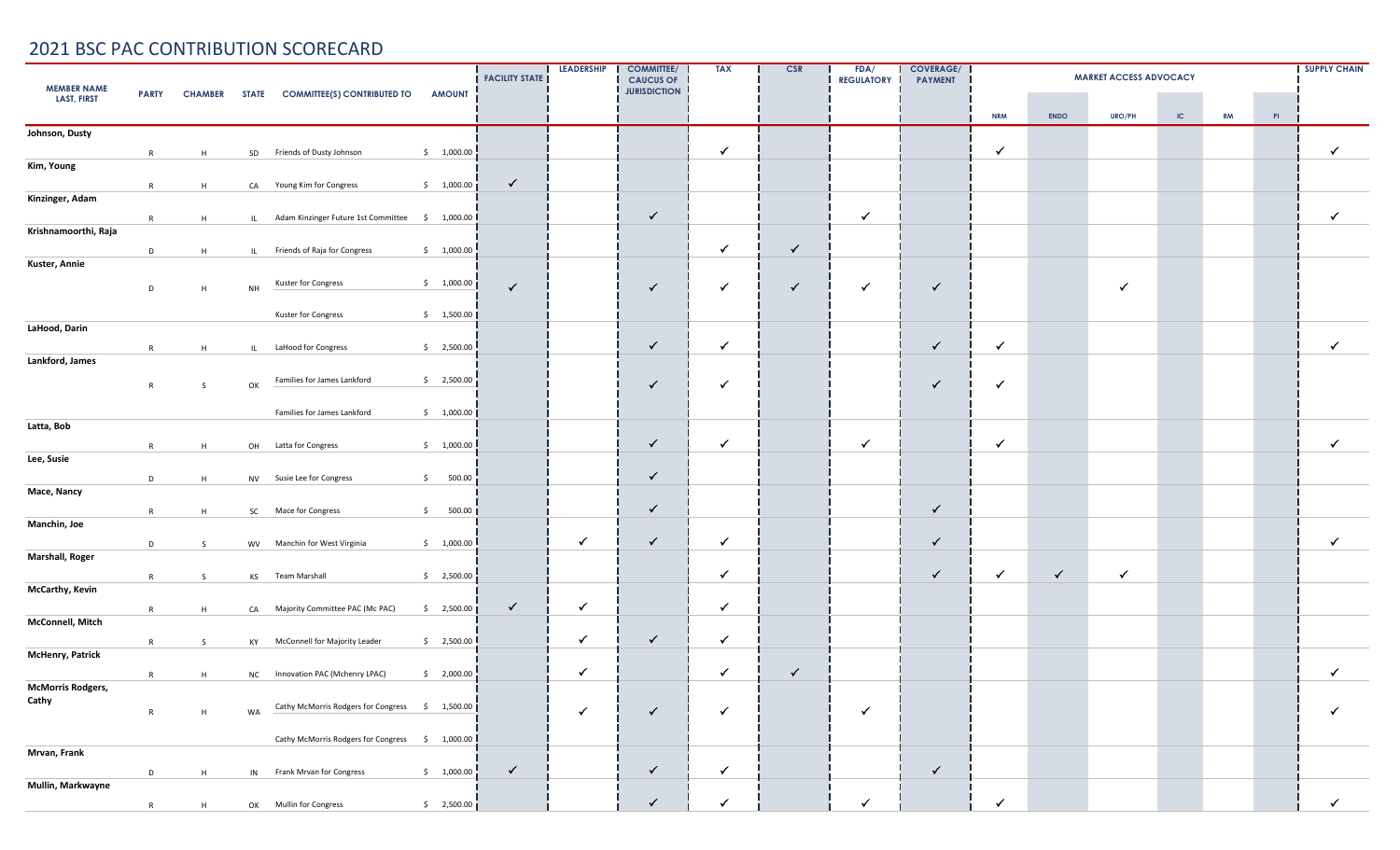| <b>MEMBER NAME</b><br>PARTY CHAMBER STATE COMMITTEE(S) CONTRIBUTED TO<br><b>AMOUNT</b> |   |    |    |                                                    |                       | <b>FACILITY STATE</b> | <b>LEADERSHIP</b> | <b>COMMITTEE/</b><br><b>CAUCUS OF</b><br><b>JURISDICTION</b> | <b>TAX</b>   | <b>CSR</b>   | FDA/<br><b>REGULATORY</b> | <b>COVERAGE/</b><br><b>PAYMENT</b> |              |              | <b>MARKET ACCESS ADVOCACY</b> |          |           |    | <b>SUPPLY CHAIN</b> |
|----------------------------------------------------------------------------------------|---|----|----|----------------------------------------------------|-----------------------|-----------------------|-------------------|--------------------------------------------------------------|--------------|--------------|---------------------------|------------------------------------|--------------|--------------|-------------------------------|----------|-----------|----|---------------------|
| <b>LAST, FIRST</b>                                                                     |   |    |    |                                                    |                       |                       |                   |                                                              |              |              |                           |                                    | <b>NRM</b>   | <b>ENDO</b>  | <b>URO/PH</b>                 | $\sf IC$ | <b>RM</b> | PI |                     |
| Johnson, Dusty                                                                         |   |    |    |                                                    |                       |                       |                   |                                                              |              |              |                           |                                    |              |              |                               |          |           |    |                     |
|                                                                                        | R | H  |    | SD Friends of Dusty Johnson                        | \$1,000.00            |                       |                   |                                                              | $\checkmark$ |              |                           |                                    | $\checkmark$ |              |                               |          |           |    | $\checkmark$        |
| Kim, Young                                                                             |   |    |    |                                                    |                       |                       |                   |                                                              |              |              |                           |                                    |              |              |                               |          |           |    |                     |
|                                                                                        | R | H  |    | CA Young Kim for Congress                          | \$1,000.00]           | $\checkmark$          |                   |                                                              |              |              |                           |                                    |              |              |                               |          |           |    |                     |
| Kinzinger, Adam                                                                        |   |    |    |                                                    |                       |                       |                   |                                                              |              |              |                           |                                    |              |              |                               |          |           |    |                     |
| Krishnamoorthi, Raja                                                                   | R | H  |    | IL Adam Kinzinger Future 1st Committee \$ 1,000.00 |                       |                       |                   | $\checkmark$                                                 |              |              | $\checkmark$              |                                    |              |              |                               |          |           |    | $\checkmark$        |
|                                                                                        |   |    |    |                                                    | \$1,000.00            |                       |                   |                                                              | $\checkmark$ | $\checkmark$ |                           |                                    |              |              |                               |          |           |    |                     |
| Kuster, Annie                                                                          | D | H  |    | IL Friends of Raja for Congress                    |                       |                       |                   |                                                              |              |              |                           |                                    |              |              |                               |          |           |    |                     |
|                                                                                        | D | H  | NH | Kuster for Congress                                | \$1,000.00]           | $\checkmark$          |                   | ✓                                                            | $\checkmark$ | $\checkmark$ | $\checkmark$              | ✓                                  |              |              | $\checkmark$                  |          |           |    |                     |
|                                                                                        |   |    |    |                                                    |                       |                       |                   |                                                              |              |              |                           |                                    |              |              |                               |          |           |    |                     |
| LaHood, Darin                                                                          |   |    |    | Kuster for Congress                                | \$1,500.00            |                       |                   |                                                              |              |              |                           |                                    |              |              |                               |          |           |    |                     |
|                                                                                        | R | H  |    | IL LaHood for Congress                             | \$2,500.00            |                       |                   | $\checkmark$                                                 | $\checkmark$ |              |                           | $\checkmark$                       | $\checkmark$ |              |                               |          |           |    | $\checkmark$        |
| Lankford, James                                                                        |   |    |    |                                                    |                       |                       |                   |                                                              |              |              |                           |                                    |              |              |                               |          |           |    |                     |
|                                                                                        |   |    |    | Families for James Lankford                        | $\frac{1}{2}$ ,500.00 |                       |                   |                                                              |              |              |                           |                                    | $\checkmark$ |              |                               |          |           |    |                     |
|                                                                                        | R | S  | OK |                                                    |                       |                       |                   | $\checkmark$                                                 | $\checkmark$ |              |                           | ✓                                  |              |              |                               |          |           |    |                     |
|                                                                                        |   |    |    | Families for James Lankford                        | \$1,000.00]           |                       |                   |                                                              |              |              |                           |                                    |              |              |                               |          |           |    |                     |
| Latta, Bob                                                                             |   |    |    |                                                    |                       |                       |                   |                                                              |              |              |                           |                                    |              |              |                               |          |           |    |                     |
|                                                                                        | R | H  | OH | Latta for Congress                                 | \$1,000.00            |                       |                   | $\checkmark$                                                 | $\checkmark$ |              | $\checkmark$              |                                    | $\checkmark$ |              |                               |          |           |    | $\checkmark$        |
| Lee, Susie                                                                             |   |    |    |                                                    |                       |                       |                   |                                                              |              |              |                           |                                    |              |              |                               |          |           |    |                     |
|                                                                                        | D | H  |    | NV Susie Lee for Congress                          | \$500.00              |                       |                   | $\checkmark$                                                 |              |              |                           |                                    |              |              |                               |          |           |    |                     |
| Mace, Nancy                                                                            |   |    |    |                                                    |                       |                       |                   |                                                              |              |              |                           |                                    |              |              |                               |          |           |    |                     |
| Manchin, Joe                                                                           | R | H  |    | SC Mace for Congress                               | \$500.00]             |                       |                   | $\checkmark$                                                 |              |              |                           | ✓                                  |              |              |                               |          |           |    |                     |
|                                                                                        |   |    |    |                                                    | \$1,000.00]           |                       | $\checkmark$      | $\checkmark$                                                 | $\checkmark$ |              |                           | ✓                                  |              |              |                               |          |           |    | $\checkmark$        |
| Marshall, Roger                                                                        | D | S. |    | WV Manchin for West Virginia                       |                       |                       |                   |                                                              |              |              |                           |                                    |              |              |                               |          |           |    |                     |
|                                                                                        | R | S  |    | KS Team Marshall                                   | \$2,500.00            |                       |                   |                                                              | $\checkmark$ |              |                           | $\checkmark$                       | $\checkmark$ | $\checkmark$ | ✓                             |          |           |    |                     |
| McCarthy, Kevin                                                                        |   |    |    |                                                    |                       |                       |                   |                                                              |              |              |                           |                                    |              |              |                               |          |           |    |                     |
|                                                                                        | R | H  |    | CA Majority Committee PAC (Mc PAC)                 | \$2,500.00]           | $\checkmark$          | $\checkmark$      |                                                              | $\sqrt{2}$   |              |                           |                                    |              |              |                               |          |           |    |                     |
| McConnell, Mitch                                                                       |   |    |    |                                                    |                       |                       |                   |                                                              |              |              |                           |                                    |              |              |                               |          |           |    |                     |
|                                                                                        | R | S. |    | KY McConnell for Majority Leader                   | \$2,500.00            |                       | $\checkmark$      | $\checkmark$                                                 | $\checkmark$ |              |                           |                                    |              |              |                               |          |           |    |                     |
| McHenry, Patrick                                                                       |   |    |    |                                                    |                       |                       |                   |                                                              |              |              |                           |                                    |              |              |                               |          |           |    |                     |
|                                                                                        | R | H  |    | NC Innovation PAC (Mchenry LPAC)                   | \$2,000.00            |                       | ✓                 |                                                              | $\checkmark$ | $\checkmark$ |                           |                                    |              |              |                               |          |           |    | $\checkmark$        |
| <b>McMorris Rodgers,</b><br>Cathy                                                      |   |    |    |                                                    |                       |                       |                   |                                                              |              |              |                           |                                    |              |              |                               |          |           |    |                     |
|                                                                                        | R | H  | WA | Cathy McMorris Rodgers for Congress \$ 1,500.00    |                       |                       | $\checkmark$      | $\checkmark$                                                 | $\checkmark$ |              | $\checkmark$              |                                    |              |              |                               |          |           |    | $\checkmark$        |
|                                                                                        |   |    |    | Cathy McMorris Rodgers for Congress \$ 1,000.00    |                       |                       |                   |                                                              |              |              |                           |                                    |              |              |                               |          |           |    |                     |
| Mrvan, Frank                                                                           |   |    |    |                                                    |                       |                       |                   |                                                              |              |              |                           |                                    |              |              |                               |          |           |    |                     |
|                                                                                        | D | H  |    | IN Frank Mrvan for Congress                        | \$1,000.00            | $\checkmark$          |                   | $\checkmark$                                                 | $\checkmark$ |              |                           | $\checkmark$                       |              |              |                               |          |           |    |                     |
| Mullin, Markwayne                                                                      |   |    |    |                                                    |                       |                       |                   |                                                              |              |              |                           |                                    |              |              |                               |          |           |    |                     |
|                                                                                        | R | H  |    | OK Mullin for Congress                             | $\frac{1}{2}$ ,500.00 |                       |                   | $\checkmark$                                                 |              |              | $\checkmark$              |                                    | ✓            |              |                               |          |           |    | $\checkmark$        |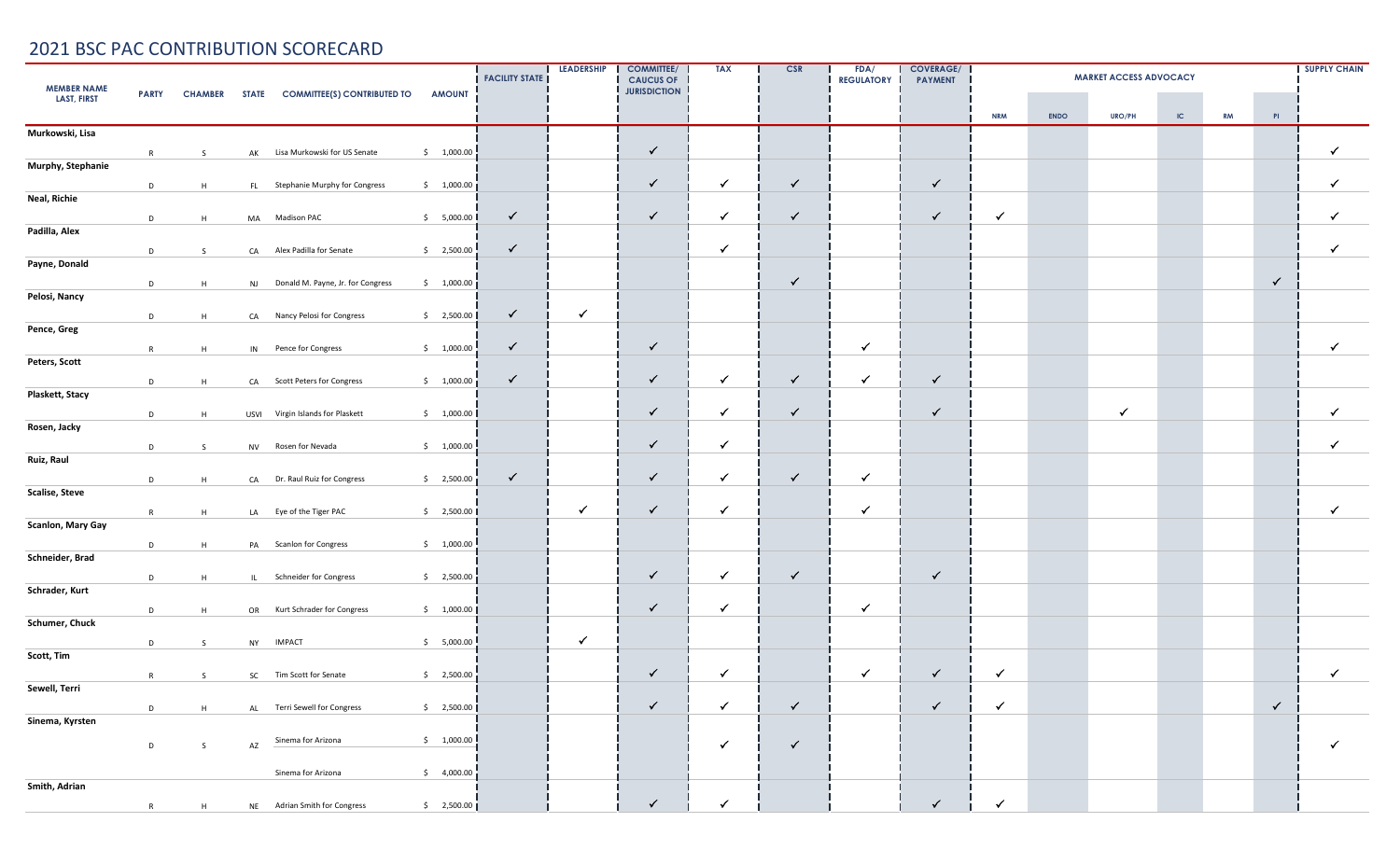| <b>MEMBER NAME</b>    | <b>PARTY</b> |    |    | CHAMBER STATE COMMITTEE(S) CONTRIBUTED TO | <b>AMOUNT</b>          | <b>FACILITY STATE</b> | <b>LEADERSHIP</b> | <b>COMMITTEE/</b><br><b>CAUCUS OF</b><br><b>JURISDICTION</b> | <b>TAX</b>   | <b>CSR</b>   | FDA/<br><b>REGULATORY</b> | <b>COVERAGE/</b><br><b>PAYMENT</b> | <b>SUPPLY CHAIN</b><br><b>MARKET ACCESS ADVOCACY</b> |             |               |          |           |              |              |
|-----------------------|--------------|----|----|-------------------------------------------|------------------------|-----------------------|-------------------|--------------------------------------------------------------|--------------|--------------|---------------------------|------------------------------------|------------------------------------------------------|-------------|---------------|----------|-----------|--------------|--------------|
| <b>LAST, FIRST</b>    |              |    |    |                                           |                        |                       |                   |                                                              |              |              |                           |                                    | <b>NRM</b>                                           | <b>ENDO</b> | <b>URO/PH</b> | $\sf IC$ | <b>RM</b> | PI           |              |
| Murkowski, Lisa       |              |    |    |                                           |                        |                       |                   |                                                              |              |              |                           |                                    |                                                      |             |               |          |           |              |              |
|                       | R            | S  |    | AK Lisa Murkowski for US Senate           | \$1,000.00             |                       |                   | $\checkmark$                                                 |              |              |                           |                                    |                                                      |             |               |          |           |              | $\checkmark$ |
| Murphy, Stephanie     |              |    |    |                                           |                        |                       |                   |                                                              |              |              |                           |                                    |                                                      |             |               |          |           |              |              |
|                       | D            | H  |    | FL Stephanie Murphy for Congress          | \$1,000.00]            |                       |                   | $\checkmark$                                                 | $\checkmark$ | $\checkmark$ |                           | $\checkmark$                       |                                                      |             |               |          |           |              | ✓            |
| Neal, Richie          |              |    |    |                                           |                        |                       |                   |                                                              |              |              |                           |                                    |                                                      |             |               |          |           |              |              |
|                       | D            | H  |    | MA Madison PAC                            | \$5,000.00             | $\checkmark$          |                   | ✓                                                            | $\checkmark$ | $\checkmark$ |                           | $\checkmark$                       | $\checkmark$                                         |             |               |          |           |              | $\checkmark$ |
| Padilla, Alex         |              |    |    |                                           |                        |                       |                   |                                                              |              |              |                           |                                    |                                                      |             |               |          |           |              |              |
|                       | D            | S  |    | CA Alex Padilla for Senate                | \$2,500.00             | $\checkmark$          |                   |                                                              | $\checkmark$ |              |                           |                                    |                                                      |             |               |          |           |              | $\checkmark$ |
| Payne, Donald         |              |    |    |                                           |                        |                       |                   |                                                              |              | $\checkmark$ |                           |                                    |                                                      |             |               |          |           |              |              |
| Pelosi, Nancy         | D            | H  |    | NJ Donald M. Payne, Jr. for Congress      | \$1,000.00]            |                       |                   |                                                              |              |              |                           |                                    |                                                      |             |               |          |           | $\checkmark$ |              |
|                       | D            |    |    |                                           | \$2,500.00             | $\checkmark$          | $\checkmark$      |                                                              |              |              |                           |                                    |                                                      |             |               |          |           |              |              |
| Pence, Greg           |              | H  |    | CA Nancy Pelosi for Congress              |                        |                       |                   |                                                              |              |              |                           |                                    |                                                      |             |               |          |           |              |              |
|                       | R            | H  |    | IN Pence for Congress                     | \$1,000.00             | $\checkmark$          |                   | $\checkmark$                                                 |              |              | $\checkmark$              |                                    |                                                      |             |               |          |           |              | $\checkmark$ |
| Peters, Scott         |              |    |    |                                           |                        |                       |                   |                                                              |              |              |                           |                                    |                                                      |             |               |          |           |              |              |
|                       | D            | H  |    | CA Scott Peters for Congress              | \$1,000.00]            | $\checkmark$          |                   | $\checkmark$                                                 | $\checkmark$ | $\checkmark$ | $\checkmark$              | $\checkmark$                       |                                                      |             |               |          |           |              |              |
| Plaskett, Stacy       |              |    |    |                                           |                        |                       |                   |                                                              |              |              |                           |                                    |                                                      |             |               |          |           |              |              |
|                       | D            | H  |    | USVI Virgin Islands for Plaskett          | \$1,000.00             |                       |                   | $\checkmark$                                                 | $\checkmark$ | $\checkmark$ |                           | $\checkmark$                       |                                                      |             | $\checkmark$  |          |           |              | $\checkmark$ |
| Rosen, Jacky          |              |    |    |                                           |                        |                       |                   |                                                              |              |              |                           |                                    |                                                      |             |               |          |           |              |              |
|                       | D            | S. |    | NV Rosen for Nevada                       | \$1,000.00             |                       |                   | $\checkmark$                                                 | $\checkmark$ |              |                           |                                    |                                                      |             |               |          |           |              | $\checkmark$ |
| Ruiz, Raul            |              |    |    |                                           |                        |                       |                   |                                                              |              |              |                           |                                    |                                                      |             |               |          |           |              |              |
|                       | D            | H  |    | CA Dr. Raul Ruiz for Congress             | \$2,500.00             | $\checkmark$          |                   | $\checkmark$                                                 | $\checkmark$ | $\checkmark$ | $\checkmark$              |                                    |                                                      |             |               |          |           |              |              |
| <b>Scalise, Steve</b> |              |    |    |                                           |                        |                       |                   |                                                              |              |              |                           |                                    |                                                      |             |               |          |           |              |              |
|                       | R            | H  |    | LA Eye of the Tiger PAC                   | \$2,500.00             |                       | ✓                 | $\checkmark$                                                 | $\checkmark$ |              | $\checkmark$              |                                    |                                                      |             |               |          |           |              | $\checkmark$ |
| Scanlon, Mary Gay     |              |    |    |                                           |                        |                       |                   |                                                              |              |              |                           |                                    |                                                      |             |               |          |           |              |              |
|                       | D            | H  |    | PA Scanlon for Congress                   | \$1,000.00             |                       |                   |                                                              |              |              |                           |                                    |                                                      |             |               |          |           |              |              |
| Schneider, Brad       |              |    |    |                                           |                        |                       |                   | $\checkmark$                                                 | $\checkmark$ | $\checkmark$ |                           |                                    |                                                      |             |               |          |           |              |              |
| Schrader, Kurt        | D            | H  |    | IL Schneider for Congress                 | $\sin 2,500.00$        |                       |                   |                                                              |              |              |                           | $\checkmark$                       |                                                      |             |               |          |           |              |              |
|                       |              |    |    |                                           |                        |                       |                   | $\checkmark$                                                 | $\checkmark$ |              | ✓                         |                                    |                                                      |             |               |          |           |              |              |
| Schumer, Chuck        | D            | H  |    | OR Kurt Schrader for Congress             | \$1,000.00             |                       |                   |                                                              |              |              |                           |                                    |                                                      |             |               |          |           |              |              |
|                       | D            | S  |    | NY IMPACT                                 | \$5,000.00             |                       | $\checkmark$      |                                                              |              |              |                           |                                    |                                                      |             |               |          |           |              |              |
| Scott, Tim            |              |    |    |                                           |                        |                       |                   |                                                              |              |              |                           |                                    |                                                      |             |               |          |           |              |              |
|                       | R            | S  |    | SC Tim Scott for Senate                   | \$2,500.00             |                       |                   | $\checkmark$                                                 | $\checkmark$ |              | $\checkmark$              | $\checkmark$                       | $\checkmark$                                         |             |               |          |           |              | $\checkmark$ |
| Sewell, Terri         |              |    |    |                                           |                        |                       |                   |                                                              |              |              |                           |                                    |                                                      |             |               |          |           |              |              |
|                       | D            | H  |    | AL Terri Sewell for Congress              | \$2,500.00             |                       |                   | $\checkmark$                                                 | $\checkmark$ | $\checkmark$ |                           | $\checkmark$                       | $\checkmark$                                         |             |               |          |           | $\checkmark$ |              |
| Sinema, Kyrsten       |              |    |    |                                           |                        |                       |                   |                                                              |              |              |                           |                                    |                                                      |             |               |          |           |              |              |
|                       | D            | S  | AZ | Sinema for Arizona                        | \$1,000.00]            |                       |                   |                                                              | $\checkmark$ | $\checkmark$ |                           |                                    |                                                      |             |               |          |           |              | $\checkmark$ |
|                       |              |    |    |                                           |                        |                       |                   |                                                              |              |              |                           |                                    |                                                      |             |               |          |           |              |              |
|                       |              |    |    | Sinema for Arizona                        | $\frac{1}{2}$ 4,000.00 |                       |                   |                                                              |              |              |                           |                                    |                                                      |             |               |          |           |              |              |
| Smith, Adrian         |              |    |    |                                           |                        |                       |                   |                                                              |              |              |                           |                                    |                                                      |             |               |          |           |              |              |
|                       | R            | H  |    | NE Adrian Smith for Congress              | $\frac{1}{2}$ ,500.00  |                       |                   | $\checkmark$                                                 | $\checkmark$ |              |                           | $\checkmark$                       |                                                      |             |               |          |           |              |              |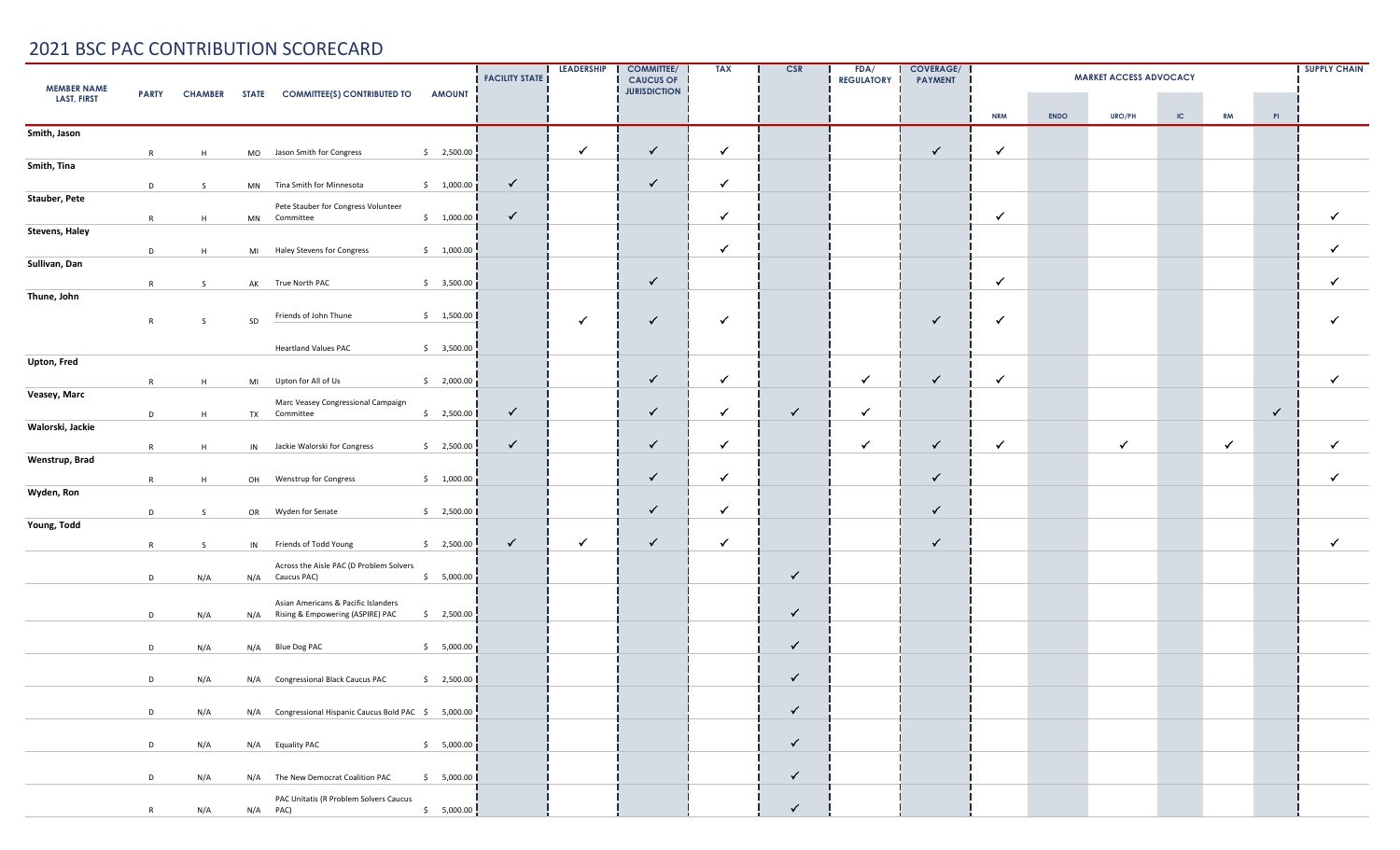|                       | <b>MEMBER NAME</b> |     |    |                                                            |                               |              | <b>LEADERSHIP</b> | <b>COMMITTEE/</b><br><b>CAUCUS OF</b> | <b>TAX</b>   | <b>CSR</b>   | FDA/<br><b>REGULATORY</b> | <b>COVERAGE/</b><br><b>PAYMENT</b> |              | <b>SUPPLY CHAIN</b> |               |    |              |              |              |
|-----------------------|--------------------|-----|----|------------------------------------------------------------|-------------------------------|--------------|-------------------|---------------------------------------|--------------|--------------|---------------------------|------------------------------------|--------------|---------------------|---------------|----|--------------|--------------|--------------|
| <b>LAST, FIRST</b>    |                    |     |    | PARTY CHAMBER STATE COMMITTEE(S) CONTRIBUTED TO            | <b>AMOUNT</b>                 |              |                   | <b>JURISDICTION</b>                   |              |              |                           |                                    | <b>NRM</b>   | <b>ENDO</b>         | <b>URO/PH</b> | IC | <b>RM</b>    | PI           |              |
| Smith, Jason          |                    |     |    |                                                            |                               |              |                   |                                       |              |              |                           |                                    |              |                     |               |    |              |              |              |
|                       | R                  | H   |    | MO Jason Smith for Congress                                | \$2,500.00                    |              | $\checkmark$      | $\checkmark$                          | $\checkmark$ |              |                           | $\checkmark$                       | $\checkmark$ |                     |               |    |              |              |              |
| Smith, Tina           |                    |     |    |                                                            |                               |              |                   |                                       |              |              |                           |                                    |              |                     |               |    |              |              |              |
|                       | D                  | S   |    | MN Tina Smith for Minnesota                                | \$1,000.00]                   | $\checkmark$ |                   | $\checkmark$                          | $\checkmark$ |              |                           |                                    |              |                     |               |    |              |              |              |
| Stauber, Pete         | R                  | H   |    | Pete Stauber for Congress Volunteer<br>MN Committee        | \$1,000.00                    | $\checkmark$ |                   |                                       | $\checkmark$ |              |                           |                                    | $\checkmark$ |                     |               |    |              |              | $\checkmark$ |
| <b>Stevens, Haley</b> |                    |     |    |                                                            |                               |              |                   |                                       |              |              |                           |                                    |              |                     |               |    |              |              |              |
|                       | D                  | H   |    | MI Haley Stevens for Congress                              | \$1,000.00                    |              |                   |                                       | $\checkmark$ |              |                           |                                    |              |                     |               |    |              |              | $\checkmark$ |
| Sullivan, Dan         |                    |     |    |                                                            |                               |              |                   |                                       |              |              |                           |                                    |              |                     |               |    |              |              |              |
| Thune, John           | R                  | S   |    | AK True North PAC                                          | $$3,500.00$ j                 |              |                   | $\checkmark$                          |              |              |                           |                                    | $\checkmark$ |                     |               |    |              |              | ✓            |
|                       | R                  | S   | SD | Friends of John Thune                                      | \$1,500.00                    |              | $\checkmark$      | $\checkmark$                          | $\checkmark$ |              |                           | $\checkmark$                       | ✓            |                     |               |    |              |              | $\checkmark$ |
|                       |                    |     |    |                                                            |                               |              |                   |                                       |              |              |                           |                                    |              |                     |               |    |              |              |              |
| Upton, Fred           |                    |     |    | <b>Heartland Values PAC</b>                                | \$3,500.00                    |              |                   |                                       |              |              |                           |                                    |              |                     |               |    |              |              |              |
|                       | R                  | H   |    | MI Upton for All of Us                                     | $\sin 2,000.00$ $\frac{1}{2}$ |              |                   | $\checkmark$                          | $\checkmark$ |              | $\checkmark$              | $\checkmark$                       | $\checkmark$ |                     |               |    |              |              | $\checkmark$ |
| Veasey, Marc          |                    |     |    | Marc Veasey Congressional Campaign                         |                               |              |                   |                                       |              |              |                           |                                    |              |                     |               |    |              |              |              |
|                       | D                  | H   |    | TX Committee                                               | \$2,500.00                    | $\checkmark$ |                   | $\checkmark$                          | $\checkmark$ | $\checkmark$ | $\checkmark$              |                                    |              |                     |               |    |              | $\checkmark$ |              |
| Walorski, Jackie      |                    |     |    |                                                            |                               | $\checkmark$ |                   | $\checkmark$                          | $\checkmark$ |              | $\checkmark$              | $\checkmark$                       | $\checkmark$ |                     | $\checkmark$  |    | $\checkmark$ |              | $\checkmark$ |
| Wenstrup, Brad        | R                  | H   |    | IN Jackie Walorski for Congress                            | \$2,500.00                    |              |                   |                                       |              |              |                           |                                    |              |                     |               |    |              |              |              |
|                       | R                  | H   |    | OH Wenstrup for Congress                                   | \$1,000.00                    |              |                   | $\checkmark$                          | $\checkmark$ |              |                           | $\checkmark$                       |              |                     |               |    |              |              | $\checkmark$ |
| Wyden, Ron            |                    |     |    |                                                            |                               |              |                   |                                       |              |              |                           |                                    |              |                     |               |    |              |              |              |
|                       | D                  | S.  |    | OR Wyden for Senate                                        | \$2,500.00                    |              |                   | $\checkmark$                          | $\checkmark$ |              |                           | $\checkmark$                       |              |                     |               |    |              |              |              |
| Young, Todd           |                    |     |    |                                                            |                               |              | $\checkmark$      | $\checkmark$                          | $\checkmark$ |              |                           | $\checkmark$                       |              |                     |               |    |              |              | $\checkmark$ |
|                       | R                  | S   |    | IN Friends of Todd Young                                   | \$2,500.00                    | $\checkmark$ |                   |                                       |              |              |                           |                                    |              |                     |               |    |              |              |              |
|                       | D                  | N/A |    | Across the Aisle PAC (D Problem Solvers<br>N/A Caucus PAC) | \$5,000.00                    |              |                   |                                       |              | $\checkmark$ |                           |                                    |              |                     |               |    |              |              |              |
|                       |                    |     |    | Asian Americans & Pacific Islanders                        |                               |              |                   |                                       |              |              |                           |                                    |              |                     |               |    |              |              |              |
|                       | D                  | N/A |    | N/A Rising & Empowering (ASPIRE) PAC                       | \$2,500.00                    |              |                   |                                       |              | $\checkmark$ |                           |                                    |              |                     |               |    |              |              |              |
|                       |                    |     |    |                                                            |                               |              |                   |                                       |              | $\checkmark$ |                           |                                    |              |                     |               |    |              |              |              |
|                       | D                  | N/A |    | N/A Blue Dog PAC                                           | \$5,000.00]                   |              |                   |                                       |              |              |                           |                                    |              |                     |               |    |              |              |              |
|                       | D                  | N/A |    | N/A Congressional Black Caucus PAC                         | \$2,500.00                    |              |                   |                                       |              | $\checkmark$ |                           |                                    |              |                     |               |    |              |              |              |
|                       | D                  |     |    | N/A Congressional Hispanic Caucus Bold PAC \$ 5,000.00     |                               |              |                   |                                       |              | $\checkmark$ |                           |                                    |              |                     |               |    |              |              |              |
|                       |                    | N/A |    |                                                            |                               |              |                   |                                       |              |              |                           |                                    |              |                     |               |    |              |              |              |
|                       | D                  | N/A |    | N/A Equality PAC                                           | \$5,000.00                    |              |                   |                                       |              | $\checkmark$ |                           |                                    |              |                     |               |    |              |              |              |
|                       | D                  | N/A |    | N/A The New Democrat Coalition PAC                         | \$5,000.00                    |              |                   |                                       |              | $\checkmark$ |                           |                                    |              |                     |               |    |              |              |              |
|                       |                    |     |    | PAC Unitatis (R Problem Solvers Caucus                     |                               |              |                   |                                       |              |              |                           |                                    |              |                     |               |    |              |              |              |
|                       | R                  | N/A |    | $N/A$ PAC)                                                 | \$5,000.00                    |              |                   |                                       |              | $\checkmark$ |                           |                                    |              |                     |               |    |              |              |              |